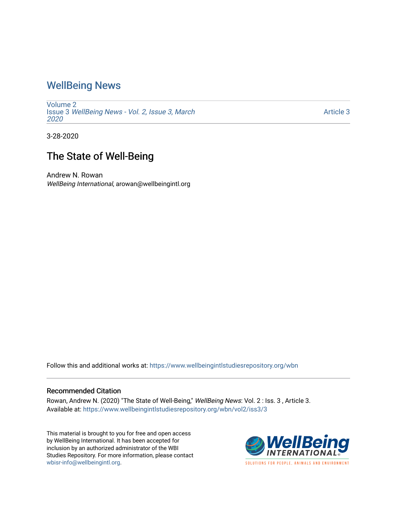## [WellBeing News](https://www.wellbeingintlstudiesrepository.org/wbn)

[Volume 2](https://www.wellbeingintlstudiesrepository.org/wbn/vol2) Issue 3 [WellBeing News - Vol. 2, Issue 3, March](https://www.wellbeingintlstudiesrepository.org/wbn/vol2/iss3) [2020](https://www.wellbeingintlstudiesrepository.org/wbn/vol2/iss3) 

[Article 3](https://www.wellbeingintlstudiesrepository.org/wbn/vol2/iss3/3) 

3-28-2020

## The State of Well-Being

Andrew N. Rowan WellBeing International, arowan@wellbeingintl.org

Follow this and additional works at: [https://www.wellbeingintlstudiesrepository.org/wbn](https://www.wellbeingintlstudiesrepository.org/wbn?utm_source=www.wellbeingintlstudiesrepository.org%2Fwbn%2Fvol2%2Fiss3%2F3&utm_medium=PDF&utm_campaign=PDFCoverPages)

## Recommended Citation

Rowan, Andrew N. (2020) "The State of Well-Being," WellBeing News: Vol. 2 : Iss. 3 , Article 3. Available at: [https://www.wellbeingintlstudiesrepository.org/wbn/vol2/iss3/3](https://www.wellbeingintlstudiesrepository.org/wbn/vol2/iss3/3?utm_source=www.wellbeingintlstudiesrepository.org%2Fwbn%2Fvol2%2Fiss3%2F3&utm_medium=PDF&utm_campaign=PDFCoverPages)

This material is brought to you for free and open access by WellBeing International. It has been accepted for inclusion by an authorized administrator of the WBI Studies Repository. For more information, please contact [wbisr-info@wellbeingintl.org](mailto:wbisr-info@wellbeingintl.org).



SOLUTIONS FOR PEOPLE. ANIMALS AND ENVIRONMENT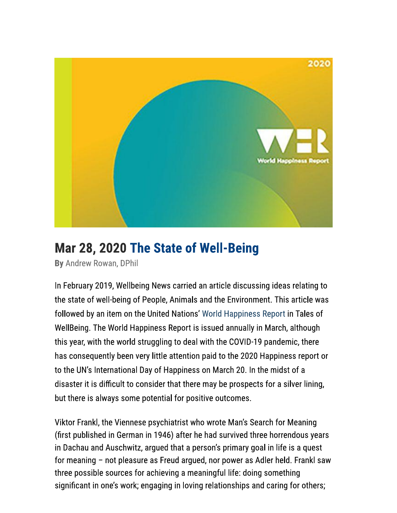

## Mar 28, 2020 The State of Well-Being

By Andrew Rowan, DPhil

In February 2019, Wellbeing News carried an article discussing ideas relating to the state of well-being of People, Animals and the Environment. This article was followed by an item on the United Nations' World Happiness Report in Tales of WellBeing. The World Happiness Report is issued annually in March, although this year, with the world struggling to deal with the COVID-19 pandemic, there has consequently been very little attention paid to the 2020 Happiness report or to the UN's International Day of Happiness on March 20. In the midst of a disaster it is difficult to consider that there may be prospects for a silver lining, but there is always some potential for positive outcomes.

Viktor Frankl, the Viennese psychiatrist who wrote Man's Search for Meaning (first published in German in 1946) after he had survived three horrendous years in Dachau and Auschwitz, argued that a person's primary goal in life is a quest for meaning – not pleasure as Freud argued, nor power as Adler held. Frankl saw three possible sources for achieving a meaningful life: doing something significant in one's work; engaging in loving relationships and caring for others;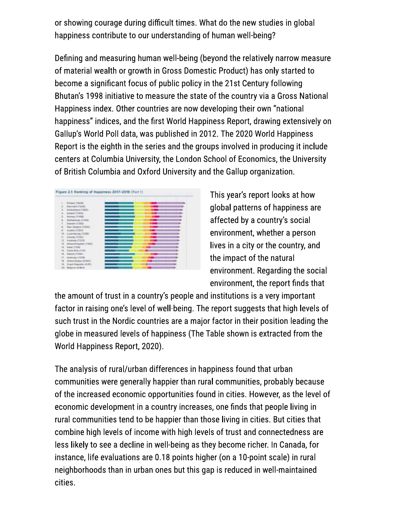or showing courage during difficult times. What do the new studies in global happiness contribute to our understanding of human well-being?

Defining and measuring human well-being (beyond the relatively narrow measure of material wealth or growth in Gross Domestic Product) has only started to become a significant focus of public policy in the 21st Century following Bhutan's 1998 initiative to measure the state of the country via a Gross National Happiness index. Other countries are now developing their own "national happiness" indices, and the first World Happiness Report, drawing extensively on Gallup's World Poll data, was published in 2012. The 2020 World Happiness Report is the eighth in the series and the groups involved in producing it include centers at Columbia University, the London School of Economics, the University of British Columbia and Oxford University and the Gallup organization.



This year's report looks at how global patterns of happiness are affected by a country's social environment, whether a person lives in a city or the country, and the impact of the natural environment. Regarding the social environment, the report finds that

the amount of trust in a country's people and institutions is a very important factor in raising one's level of well-being. The report suggests that high levels of such trust in the Nordic countries are a major factor in their position leading the globe in measured levels of happiness (The Table shown is extracted from the World Happiness Report, 2020).

The analysis of rural/urban differences in happiness found that urban communities were generally happier than rural communities, probably because of the increased economic opportunities found in cities. However, as the level of economic development in a country increases, one finds that people living in rural communities tend to be happier than those living in cities. But cities that combine high levels of income with high levels of trust and connectedness are less likely to see a decline in well-being as they become richer. In Canada, for instance, life evaluations are 0.18 points higher (on a 10-point scale) in rural neighborhoods than in urban ones but this gap is reduced in well-maintained cities.